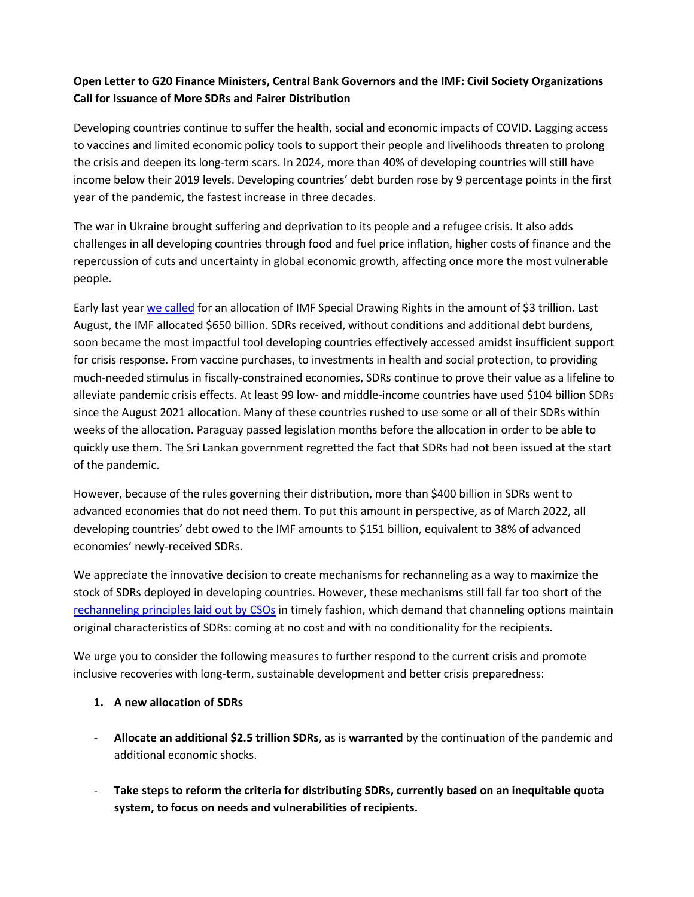## **Open Letter to G20 Finance Ministers, Central Bank Governors and the IMF: Civil Society Organizations Call for Issuance of More SDRs and Fairer Distribution**

Developing countries continue to suffer the health, social and economic impacts of COVID. Lagging access to vaccines and limited economic policy tools to support their people and livelihoods threaten to prolong the crisis and deepen its long-term scars. In 2024, more than 40% of developing countries will still have income below their 2019 levels. Developing countries' debt burden rose by 9 percentage points in the first year of the pandemic, the fastest increase in three decades.

The war in Ukraine brought suffering and deprivation to its people and a refugee crisis. It also adds challenges in all developing countries through food and fuel price inflation, higher costs of finance and the repercussion of cuts and uncertainty in global economic growth, affecting once more the most vulnerable people.

Early last yea[r we called](https://www.latindadd.org/2021/02/12/civil-society-organizations-call-for-quick-special-drawing-rights-allocation/) for an allocation of IMF Special Drawing Rights in the amount of \$3 trillion. Last August, the IMF allocated \$650 billion. SDRs received, without conditions and additional debt burdens, soon became the most impactful tool developing countries effectively accessed amidst insufficient support for crisis response. From vaccine purchases, to investments in health and social protection, to providing much-needed stimulus in fiscally-constrained economies, SDRs continue to prove their value as a lifeline to alleviate pandemic crisis effects. At least 99 low- and middle-income countries have used \$104 billion SDRs since the August 2021 allocation. Many of these countries rushed to use some or all of their SDRs within weeks of the allocation. Paraguay passed legislation months before the allocation in order to be able to quickly use them. The Sri Lankan government regretted the fact that SDRs had not been issued at the start of the pandemic.

However, because of the rules governing their distribution, more than \$400 billion in SDRs went to advanced economies that do not need them. To put this amount in perspective, as of March 2022, all developing countries' debt owed to the IMF amounts to \$151 billion, equivalent to 38% of advanced economies' newly-received SDRs.

We appreciate the innovative decision to create mechanisms for rechanneling as a way to maximize the stock of SDRs deployed in developing countries. However, these mechanisms still fall far too short of the [rechanneling principles laid out by CSOs](https://www.latindadd.org/2021/09/29/osc-launches-call-for-the-fair-channeling-of-special-drawing-rights-osc-lanza-llamado-para-la-canalizacion-justa-de-los-derechos-especiales-de-giro/) in timely fashion, which demand that channeling options maintain original characteristics of SDRs: coming at no cost and with no conditionality for the recipients.

We urge you to consider the following measures to further respond to the current crisis and promote inclusive recoveries with long-term, sustainable development and better crisis preparedness:

## **1. A new allocation of SDRs**

- **Allocate an additional \$2.5 trillion SDRs**, as is **warranted** by the continuation of the pandemic and additional economic shocks.
- **Take steps to reform the criteria for distributing SDRs, currently based on an inequitable quota system, to focus on needs and vulnerabilities of recipients.**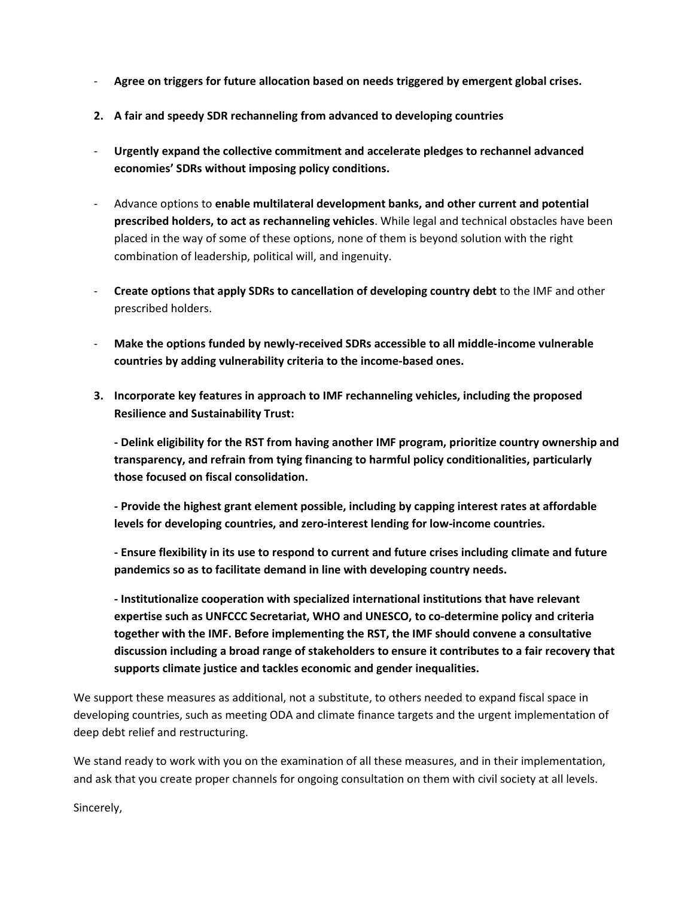- **Agree on triggers for future allocation based on needs triggered by emergent global crises.**
- **2. A fair and speedy SDR rechanneling from advanced to developing countries**
- **Urgently expand the collective commitment and accelerate pledges to rechannel advanced economies' SDRs without imposing policy conditions.**
- Advance options to **enable multilateral development banks, and other current and potential prescribed holders, to act as rechanneling vehicles**. While legal and technical obstacles have been placed in the way of some of these options, none of them is beyond solution with the right combination of leadership, political will, and ingenuity.
- **Create options that apply SDRs to cancellation of developing country debt** to the IMF and other prescribed holders.
- **Make the options funded by newly-received SDRs accessible to all middle-income vulnerable countries by adding vulnerability criteria to the income-based ones.**
- **3. Incorporate key features in approach to IMF rechanneling vehicles, including the proposed Resilience and Sustainability Trust:**

**- Delink eligibility for the RST from having another IMF program, prioritize country ownership and transparency, and refrain from tying financing to harmful policy conditionalities, particularly those focused on fiscal consolidation.**

**- Provide the highest grant element possible, including by capping interest rates at affordable levels for developing countries, and zero-interest lending for low-income countries.**

**- Ensure flexibility in its use to respond to current and future crises including climate and future pandemics so as to facilitate demand in line with developing country needs.**

**- Institutionalize cooperation with specialized international institutions that have relevant expertise such as UNFCCC Secretariat, WHO and UNESCO, to co-determine policy and criteria together with the IMF. Before implementing the RST, the IMF should convene a consultative discussion including a broad range of stakeholders to ensure it contributes to a fair recovery that supports climate justice and tackles economic and gender inequalities.**

We support these measures as additional, not a substitute, to others needed to expand fiscal space in developing countries, such as meeting ODA and climate finance targets and the urgent implementation of deep debt relief and restructuring.

We stand ready to work with you on the examination of all these measures, and in their implementation, and ask that you create proper channels for ongoing consultation on them with civil society at all levels.

Sincerely,